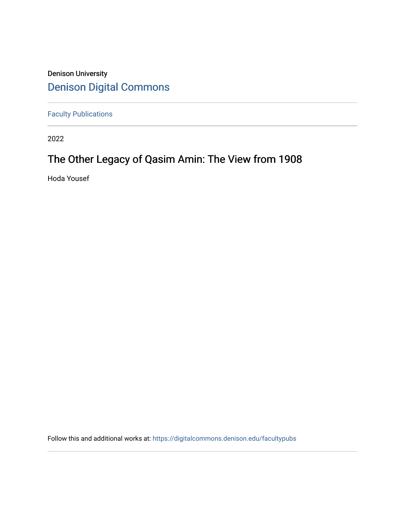## Denison University [Denison Digital Commons](https://digitalcommons.denison.edu/)

[Faculty Publications](https://digitalcommons.denison.edu/facultypubs)

2022

# The Other Legacy of Qasim Amin: The View from 1908

Hoda Yousef

Follow this and additional works at: [https://digitalcommons.denison.edu/facultypubs](https://digitalcommons.denison.edu/facultypubs?utm_source=digitalcommons.denison.edu%2Ffacultypubs%2F1358&utm_medium=PDF&utm_campaign=PDFCoverPages)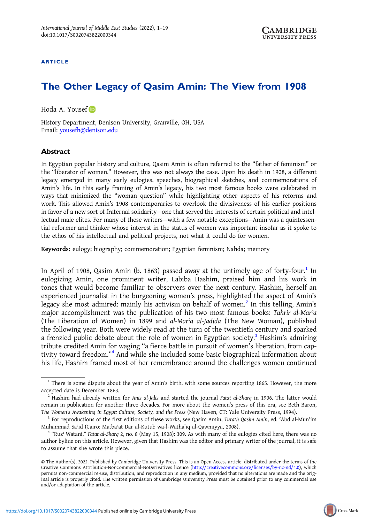#### ARTICLE

### The Other Legacy of Qasim Amin: The View from 1908

Hoda A. Yousef

History Department, Denison University, Granville, OH, USA Email: [yousefh@denison.edu](mailto:yousefh@denison.edu)

#### **Abstract**

In Egyptian popular history and culture, Qasim Amin is often referred to the "father of feminism" or the "liberator of women." However, this was not always the case. Upon his death in 1908, a different legacy emerged in many early eulogies, speeches, biographical sketches, and commemorations of Amin's life. In this early framing of Amin's legacy, his two most famous books were celebrated in ways that minimized the "woman question" while highlighting other aspects of his reforms and work. This allowed Amin's 1908 contemporaries to overlook the divisiveness of his earlier positions in favor of a new sort of fraternal solidarity—one that served the interests of certain political and intellectual male elites. For many of these writers—with a few notable exceptions—Amin was a quintessential reformer and thinker whose interest in the status of women was important insofar as it spoke to the ethos of his intellectual and political projects, not what it could do for women.

Keywords: eulogy; biography; commemoration; Egyptian feminism; Nahda; memory

In April of 1908, Qasim Amin (b. 1863) passed away at the untimely age of forty-four.<sup>1</sup> In eulogizing Amin, one prominent writer, Labiba Hashim, praised him and his work in tones that would become familiar to observers over the next century. Hashim, herself an experienced journalist in the burgeoning women's press, highlighted the aspect of Amin's legacy she most admired: mainly his activism on behalf of women.<sup>2</sup> In this telling, Amin's major accomplishment was the publication of his two most famous books: Tahrir al-Mar'a (The Liberation of Women) in 1899 and al-Marʾa al-Jadida (The New Woman), published the following year. Both were widely read at the turn of the twentieth century and sparked a frenzied public debate about the role of women in Egyptian society.<sup>3</sup> Hashim's admiring tribute credited Amin for waging "a fierce battle in pursuit of women's liberation, from captivity toward freedom." <sup>4</sup> And while she included some basic biographical information about his life, Hashim framed most of her remembrance around the challenges women continued

 $1$  There is some dispute about the year of Amin's birth, with some sources reporting 1865. However, the more accepted date is December 1863.<br><sup>2</sup> Hashim had already written for Anis al-Jalis and started the journal Fatat al-Sharq in 1906. The latter would

remain in publication for another three decades. For more about the women's press of this era, see Beth Baron,

The Women's Awakening in Egypt: Culture, Society, and the Press (New Haven, CT: Yale University Press, 1994).<br><sup>3</sup> For reproductions of the first editions of these works, see Qasim Amin, *Turath Qasim Amin*, ed. ʿAbd al-Mun

Muhammad Saʿid (Cairo: Matbaʿat Dar al-Kutub wa-l-Watha'iq al-Qawmiyya, 2008).<br><sup>4</sup> "Ruz<sup>›</sup> Watani," *Fatat al-Sharq 2*, no. 8 (May 15, 1908): 309. As with many of the eulogies cited here, there was no author byline on this article. However, given that Hashim was the editor and primary writer of the journal, it is safe to assume that she wrote this piece.

<sup>©</sup> The Author(s), 2022. Published by Cambridge University Press. This is an Open Access article, distributed under the terms of the Creative Commons Attribution-NonCommercial-NoDerivatives licence (<http://creativecommons.org/licenses/by-nc-nd/4.0>), which permits non-commercial re-use, distribution, and reproduction in any medium, provided that no alterations are made and the original article is properly cited. The written permission of Cambridge University Press must be obtained prior to any commercial use and/or adaptation of the article.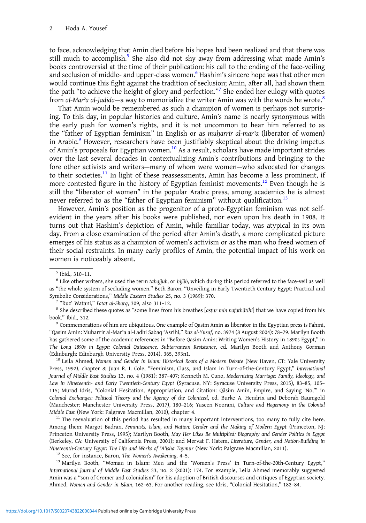to face, acknowledging that Amin died before his hopes had been realized and that there was still much to accomplish.<sup>5</sup> She also did not shy away from addressing what made Amin's books controversial at the time of their publication: his call to the ending of the face-veiling and seclusion of middle- and upper-class women.<sup>6</sup> Hashim's sincere hope was that other men would continue this fight against the tradition of seclusion; Amin, after all, had shown them the path "to achieve the height of glory and perfection." <sup>7</sup> She ended her eulogy with quotes from al-Mar'a al-Jadida—a way to memorialize the writer Amin was with the words he wrote.<sup>8</sup>

That Amin would be remembered as such a champion of women is perhaps not surprising. To this day, in popular histories and culture, Amin's name is nearly synonymous with the early push for women's rights, and it is not uncommon to hear him referred to as the "father of Egyptian feminism" in English or as muharrir al-mar<sup>'</sup>a (liberator of women) in Arabic.<sup>9</sup> However, researchers have been justifiably skeptical about the driving impetus of Amin's proposals for Egyptian women.<sup>10</sup> As a result, scholars have made important strides over the last several decades in contextualizing Amin's contributions and bringing to the fore other activists and writers—many of whom were women—who advocated for changes to their societies.<sup>11</sup> In light of these reassessments, Amin has become a less prominent, if more contested figure in the history of Egyptian feminist movements.<sup>12</sup> Even though he is still the "liberator of women" in the popular Arabic press, among academics he is almost never referred to as the "father of Egyptian feminism" without qualification.<sup>13</sup>

However, Amin's position as the progenitor of a proto-Egyptian feminism was not selfevident in the years after his books were published, nor even upon his death in 1908. It turns out that Hashim's depiction of Amin, while familiar today, was atypical in its own day. From a close examination of the period after Amin's death, a more complicated picture emerges of his status as a champion of women's activism or as the man who freed women of their social restraints. In many early profiles of Amin, the potential impact of his work on women is noticeably absent.

book." Ibid., 312.<br><sup>9</sup> Commemorations of him are ubiquitous. One example of Qasim Amin as liberator in the Egyptian press is Fahmi,

"Qasim Amin: Muharrir al-Marʾa al-Ladhi Sabaq ʿAsrihi," Ruz al-Yusuf, no. 3974 (8 August 2004): 78–79. Marilyn Booth has gathered some of the academic references in "Before Qasim Amin: Writing Women's History in 1890s Egypt," in The Long 1890s in Egypt: Colonial Quiescence, Subterranean Resistance, ed. Marilyn Booth and Anthony Gorman (Edinburgh: Edinburgh University Press, 2014), 365, 393n1.<br><sup>10</sup> Leila Ahmed, Women and Gender in Islam: Historical Roots of a Modern Debate (New Haven, CT: Yale University

Press, 1992), chapter 8; Juan R. I. Cole, "Feminism, Class, and Islam in Turn-of-the-Century Egypt," International Journal of Middle East Studies 13, no. 4 (1981): 387–407; Kenneth M. Cuno, Modernizing Marriage: Family, Ideology, and Law in Nineteenth- and Early Twentieth-Century Egypt (Syracuse, NY: Syracuse University Press, 2015), 83–85, 105– 115; Murad Idris, "Colonial Hesitation, Appropriation, and Citation: Qāsim Amīn, Empire, and Saying 'No,'" in Colonial Exchanges: Political Theory and the Agency of the Colonized, ed. Burke A. Hendrix and Deborah Baumgold (Manchester: Manchester University Press, 2017), 180–216; Yaseen Noorani, Culture and Hegemony in the Colonial Middle East (New York: Palgrave Macmillan, 2010), chapter 4. 11 The reevaluation of this period has resulted in many important interventions, too many to fully cite here.

Among them: Margot Badran, Feminists, Islam, and Nation: Gender and the Making of Modern Egypt (Princeton, NJ: Princeton University Press, 1995); Marilyn Booth, May Her Likes Be Multiplied: Biography and Gender Politics in Egypt (Berkeley, CA: University of California Press, 2001); and Mervat F. Hatem, Literature, Gender, and Nation-Building in Nineteenth-Century Egypt: The Life and Works of 'A'isha Taymur (New York: Palgrave Macmillan, 2011).<br><sup>12</sup> See, for instance, Baron, The Women's Awakening, 4–5.<br><sup>13</sup> Marilyn Booth, "Woman in Islam: Men and the 'Women's Pres

International Journal of Middle East Studies 33, no. 2 (2001): 174. For example, Leila Ahmed memorably suggested Amin was a "son of Cromer and colonialism" for his adoption of British discourses and critiques of Egyptian society. Ahmed, Women and Gender in Islam, 162–63. For another reading, see Idris, "Colonial Hesitation," 182–84.

 $^5$  Ibid., 310–11.<br> $^6$  Like other writers, she used the term taḥajjub, or ḥijāb, which during this period referred to the face-veil as well as "the whole system of secluding women." Beth Baron, "Unveiling in Early Twentieth Century Egypt: Practical and Symbolic Considerations," Middle Eastern Studies 25, no. 3 (1989): 370.<br><sup>7</sup> "Ruz' Watani," *Fatat al-Sharq*, 309, also 311-12.<br><sup>8</sup> She described these quotes as "some lines from his breathes [astur min nafathātihi] that we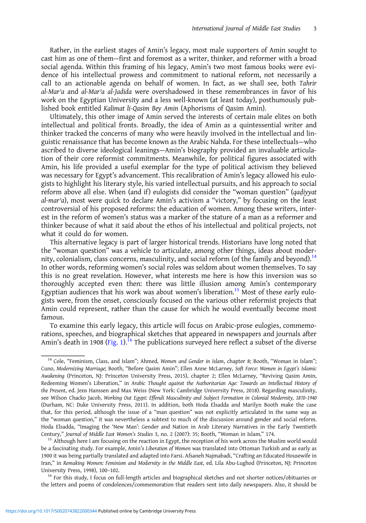Rather, in the earliest stages of Amin's legacy, most male supporters of Amin sought to cast him as one of them—first and foremost as a writer, thinker, and reformer with a broad social agenda. Within this framing of his legacy, Amin's two most famous books were evidence of his intellectual prowess and commitment to national reform, not necessarily a call to an actionable agenda on behalf of women. In fact, as we shall see, both Tahrir al-Marʾa and al-Marʾa al-Jadida were overshadowed in these remembrances in favor of his work on the Egyptian University and a less well-known (at least today), posthumously published book entitled Kalimat li-Qasim Bey Amin (Aphorisms of Qasim Amin).

Ultimately, this other image of Amin served the interests of certain male elites on both intellectual and political fronts. Broadly, the idea of Amin as a quintessential writer and thinker tracked the concerns of many who were heavily involved in the intellectual and linguistic renaissance that has become known as the Arabic Nahda. For these intellectuals—who ascribed to diverse ideological leanings—Amin's biography provided an invaluable articulation of their core reformist commitments. Meanwhile, for political figures associated with Amin, his life provided a useful exemplar for the type of political activism they believed was necessary for Egypt's advancement. This recalibration of Amin's legacy allowed his eulogists to highlight his literary style, his varied intellectual pursuits, and his approach to social reform above all else. When (and if) eulogists did consider the "woman question" (qadiyyat al-marʾa), most were quick to declare Amin's activism a "victory," by focusing on the least controversial of his proposed reforms: the education of women. Among these writers, interest in the reform of women's status was a marker of the stature of a man as a reformer and thinker because of what it said about the ethos of his intellectual and political projects, not what it could do for women.

This alternative legacy is part of larger historical trends. Historians have long noted that the "woman question" was a vehicle to articulate, among other things, ideas about modernity, colonialism, class concerns, masculinity, and social reform (of the family and beyond).<sup>14</sup> In other words, reforming women's social roles was seldom about women themselves. To say this is no great revelation. However, what interests me here is how this inversion was so thoroughly accepted even then: there was little illusion among Amin's contemporary Egyptian audiences that his work was about women's liberation.<sup>15</sup> Most of these early eulogists were, from the onset, consciously focused on the various other reformist projects that Amin could represent, rather than the cause for which he would eventually become most famous.

To examine this early legacy, this article will focus on Arabic-prose eulogies, commemorations, speeches, and biographical sketches that appeared in newspapers and journals after Amin's death in 1908 [\(Fig. 1\)](#page-4-0).<sup>16</sup> The publications surveyed here reflect a subset of the diverse

 $16$  For this study, I focus on full-length articles and biographical sketches and not shorter notices/obituaries or the letters and poems of condolences/commemoration that readers sent into daily newspapers. Also, it should be

<sup>&</sup>lt;sup>14</sup> Cole, "Feminism, Class, and Islam"; Ahmed, Women and Gender in Islam, chapter 8; Booth, "Woman in Islam"; Cuno, Modernizing Marriage; Booth, "Before Qasim Amin"; Ellen Anne McLarney, Soft Force: Women in Egypt's Islamic Awakening (Princeton, NJ: Princeton University Press, 2015), chapter 2; Ellen McLarney, "Reviving Qasim Amin, Redeeming Women's Liberation," in Arabic Thought against the Authoritarian Age: Towards an Intellectual History of the Present, ed. Jens Hanssen and Max Weiss (New York: Cambridge University Press, 2018). Regarding masculinity, see Wilson Chacko Jacob, Working Out Egypt: Effendi Masculinity and Subject Formation in Colonial Modernity, 1870–1940 (Durham, NC: Duke University Press, 2011). In addition, both Hoda Elsadda and Marilyn Booth make the case that, for this period, although the issue of a "man question" was not explicitly articulated in the same way as the "woman question," it was nevertheless a subtext to much of the discussion around gender and social reform. Hoda Elsadda, "Imaging the 'New Man': Gender and Nation in Arab Literary Narratives in the Early Twentieth Century," Journal of Middle East Women's Studies 3, no. 2 (2007): 35; Booth, "Woman in Islam," 174.<br><sup>15</sup> Although here I am focusing on the reaction in Egypt, the reception of his work across the Muslim world would

be a fascinating study. For example, Amin's Liberation of Women was translated into Ottoman Turkish and as early as 1900 it was being partially translated and adapted into Farsi. Afsaneh Najmabadi, "Crafting an Educated Housewife in Iran," in Remaking Women: Feminism and Modernity in the Middle East, ed. Lila Abu-Lughod (Princeton, NJ: Princeton<br>University Press, 1998), 100-102.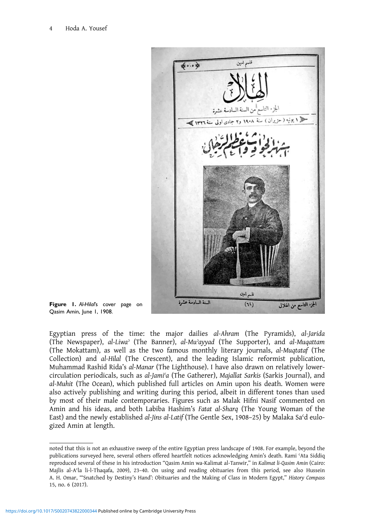<span id="page-4-0"></span>

Figure 1. Al-Hilal's cover page on Qasim Amin, June 1, 1908.

Egyptian press of the time: the major dailies al-Ahram (The Pyramids), al-Jarida (The Newspaper), al-Liwaʾ (The Banner), al-Muʾayyad (The Supporter), and al-Muqattam (The Mokattam), as well as the two famous monthly literary journals, al-Muqtataf (The Collection) and al-Hilal (The Crescent), and the leading Islamic reformist publication, Muhammad Rashid Rida's al-Manar (The Lighthouse). I have also drawn on relatively lowercirculation periodicals, such as al-Jami'a (The Gatherer), Majallat Sarkis (Sarkis Journal), and al-Muhit (The Ocean), which published full articles on Amin upon his death. Women were also actively publishing and writing during this period, albeit in different tones than used by most of their male contemporaries. Figures such as Malak Hifni Nasif commented on Amin and his ideas, and both Labiba Hashim's Fatat al-Sharq (The Young Woman of the East) and the newly established al-Jins al-Latif (The Gentle Sex, 1908–25) by Malaka Sa'd eulogized Amin at length.

noted that this is not an exhaustive sweep of the entire Egyptian press landscape of 1908. For example, beyond the publications surveyed here, several others offered heartfelt notices acknowledging Amin's death. Rami ʿAta Siddiq reproduced several of these in his introduction "Qasim Amin wa-Kalimat al-Tanwir," in Kalimat li-Qasim Amin (Cairo: Majlis al-A<sup>c</sup>la li-l-Thaqafa, 2009), 23-40. On using and reading obituaries from this period, see also Hussein A. H. Omar, "'Snatched by Destiny's Hand': Obituaries and the Making of Class in Modern Egypt," History Compass 15, no. 6 (2017).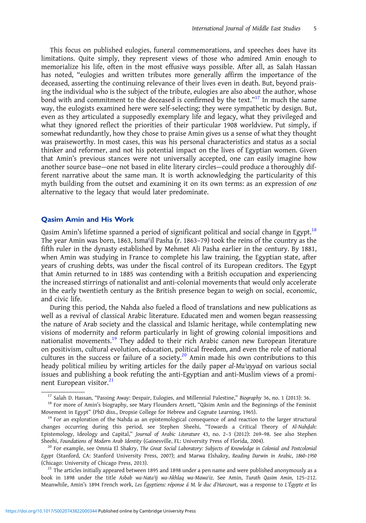This focus on published eulogies, funeral commemorations, and speeches does have its limitations. Quite simply, they represent views of those who admired Amin enough to memorialize his life, often in the most effusive ways possible. After all, as Salah Hassan has noted, "eulogies and written tributes more generally affirm the importance of the deceased, asserting the continuing relevance of their lives even in death. But, beyond praising the individual who is the subject of the tribute, eulogies are also about the author, whose bond with and commitment to the deceased is confirmed by the text."<sup>17</sup> In much the same way, the eulogists examined here were self-selecting; they were sympathetic by design. But, even as they articulated a supposedly exemplary life and legacy, what they privileged and what they ignored reflect the priorities of their particular 1908 worldview. Put simply, if somewhat redundantly, how they chose to praise Amin gives us a sense of what they thought was praiseworthy. In most cases, this was his personal characteristics and status as a social thinker and reformer, and not his potential impact on the lives of Egyptian women. Given that Amin's previous stances were not universally accepted, one can easily imagine how another source base—one not based in elite literary circles—could produce a thoroughly different narrative about the same man. It is worth acknowledging the particularity of this myth building from the outset and examining it on its own terms: as an expression of one alternative to the legacy that would later predominate.

#### Qasim Amin and His Work

Qasim Amin's lifetime spanned a period of significant political and social change in Egypt.<sup>18</sup> The year Amin was born, 1863, Ismaʿil Pasha (r. 1863–79) took the reins of the country as the fifth ruler in the dynasty established by Mehmet Ali Pasha earlier in the century. By 1881, when Amin was studying in France to complete his law training, the Egyptian state, after years of crushing debts, was under the fiscal control of its European creditors. The Egypt that Amin returned to in 1885 was contending with a British occupation and experiencing the increased stirrings of nationalist and anti-colonial movements that would only accelerate in the early twentieth century as the British presence began to weigh on social, economic, and civic life.

During this period, the Nahda also fueled a flood of translations and new publications as well as a revival of classical Arabic literature. Educated men and women began reassessing the nature of Arab society and the classical and Islamic heritage, while contemplating new visions of modernity and reform particularly in light of growing colonial impositions and nationalist movements.<sup>19</sup> They added to their rich Arabic canon new European literature on positivism, cultural evolution, education, political freedom, and even the role of national cultures in the success or failure of a society.<sup>20</sup> Amin made his own contributions to this heady political milieu by writing articles for the daily paper al-Muʾayyad on various social issues and publishing a book refuting the anti-Egyptian and anti-Muslim views of a prominent European visitor.<sup>21</sup>

<sup>&</sup>lt;sup>17</sup> Salah D. Hassan, "Passing Away: Despair, Eulogies, and Millennial Palestine," Biography 36, no. 1 (2013): 36.<br><sup>18</sup> For more of Amin's biography, see Mary Flounders Arnett, "Qāsim Amīn and the Beginnings of the Femini Movement in Egypt" (PhD diss., Dropsie College for Hebrew and Cognate Learning, 1965).<br><sup>19</sup> For an exploration of the Nahda as an epistemological consequence of and reaction to the larger structural

changes occurring during this period, see Stephen Sheehi, "Towards a Critical Theory of Al-Nahḍah: Epistemology, Ideology and Capital," Journal of Arabic Literature 43, no. 2–3 (2012): 269–98. See also Stephen Sheehi, Foundations of Modern Arab Identity (Gainesville, FL: University Press of Florida, 2004).<br><sup>20</sup> For example, see Omnia El Shakry, The Great Social Laboratory: Subjects of Knowledge in Colonial and Postcolonial

Egypt (Stanford, CA: Stanford University Press, 2007); and Marwa Elshakry, Reading Darwin in Arabic, 1860–1950 (Chicago: University of Chicago Press, 2013).<br><sup>21</sup> The articles initially appeared between 1895 and 1898 under a pen name and were published anonymously as a

book in 1898 under the title Asbab wa-Nata'ij wa-Akhlaq wa-Mawa'iz. See Amin, Turath Qasim Amin, 125-212. Meanwhile, Amin's 1894 French work, Les Égyptiens: réponse á M. le duc d'Harcourt, was a response to L'Égypte et les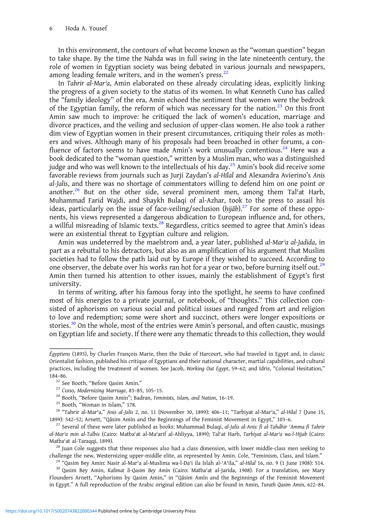In this environment, the contours of what become known as the "woman question" began to take shape. By the time the Nahda was in full swing in the late nineteenth century, the role of women in Egyptian society was being debated in various journals and newspapers, among leading female writers, and in the women's press. $22$ 

In Tahrir al-Marʾa, Amin elaborated on these already circulating ideas, explicitly linking the progress of a given society to the status of its women. In what Kenneth Cuno has called the "family ideology" of the era, Amin echoed the sentiment that women were the bedrock of the Egyptian family, the reform of which was necessary for the nation. $^{23}$  On this front Amin saw much to improve: he critiqued the lack of women's education, marriage and divorce practices, and the veiling and seclusion of upper-class women. He also took a rather dim view of Egyptian women in their present circumstances, critiquing their roles as mothers and wives. Although many of his proposals had been broached in other forums, a confluence of factors seems to have made Amin's work unusually contentious.<sup>24</sup> Here was a book dedicated to the "woman question," written by a Muslim man, who was a distinguished judge and who was well known to the intellectuals of his day.<sup>25</sup> Amin's book did receive some favorable reviews from journals such as Jurji Zaydan's al-Hilal and Alexandra Avierino's Anis al-Jalis, and there was no shortage of commentators willing to defend him on one point or another.<sup>26</sup> But on the other side, several prominent men, among them Tal'at Harb, Muhammad Farid Wajdi, and Shaykh Bulaqi of al-Azhar, took to the press to assail his ideas, particularly on the issue of face-veiling/seclusion ( $hij\bar{a}b$ ).<sup>27</sup> For some of these opponents, his views represented a dangerous abdication to European influence and, for others, a willful misreading of Islamic texts.<sup>28</sup> Regardless, critics seemed to agree that Amin's ideas were an existential threat to Egyptian culture and religion.

Amin was undeterred by the maelstrom and, a year later, published al-Mar'a al-Jadida, in part as a rebuttal to his detractors, but also as an amplification of his argument that Muslim societies had to follow the path laid out by Europe if they wished to succeed. According to one observer, the debate over his works ran hot for a year or two, before burning itself out.<sup>29</sup> Amin then turned his attention to other issues, mainly the establishment of Egypt's first university.

In terms of writing, after his famous foray into the spotlight, he seems to have confined most of his energies to a private journal, or notebook, of "thoughts." This collection consisted of aphorisms on various social and political issues and ranged from art and religion to love and redemption; some were short and succinct, others were longer expositions or stories.<sup>30</sup> On the whole, most of the entries were Amin's personal, and often caustic, musings on Egyptian life and society. If there were any thematic threads to this collection, they would

Égyptiens (1893), by Charles François Marie, then the Duke of Harcourt, who had traveled in Egypt and, in classic Orientalist fashion, published his critique of Egyptians and their national character, martial capabilities, and cultural practices, including the treatment of women. See Jacob, Working Out Egypt, 59–62; and Idris, "Colonial Hesitation," 184–86.<br><sup>22</sup> See Booth, "Before Qasim Amin."

<sup>&</sup>lt;sup>23</sup> Cuno, Modernizing Marriage, 83-85, 105-15.<br><sup>24</sup> Booth, "Before Qasim Amin"; Badran, *Feminists, Islam, and Nation*, 16-19.<br><sup>25</sup> Booth, "Woman in Islam," 178.<br><sup>25</sup> "Tahrir al-Mar<sup>3</sup>a," *Anis al-Jalis 2*, no. 11 (Novem 1899): 542–52; Arnett, "Qāsim Amīn and the Beginnings of the Feminist Movement in Egypt," 103–6.<br><sup>27</sup> Several of these were later published as books: Muhammad Bulaqi, *al-Jalis al-Anis: fi al-Tahdhir ʿAmma fi Tahrir* 

al-Marʾa min al-Talbis (Cairo: Matbaʿat al-Maʿarif al-Ahliyya, 1899); Talʿat Harb, Tarbiyat al-Marʾa wa-l-Hijab (Cairo: Matba'at al-Taraqqi, 1899).<br><sup>28</sup> Juan Cole suggests that these responses also had a class dimension, with lower middle-class men seeking to

challenge the new, Westernizing upper-middle elite, as represented by Amin. Cole, "Feminism, Class, and Islam."<br><sup>29</sup> "Qasim Bey Amin: Nasir al-Mar'a al-Muslima wa-l-Da<sup>c</sup>i ila Islah al-ʿA'ila," al-Hilal 16, no. 9 (1 June 1

Flounders Arnett, "Aphorisms by Qasim Amin," in "Qāsim Amīn and the Beginnings of the Feminist Movement in Egypt." A full reproduction of the Arabic original edition can also be found in Amin, Turath Qasim Amin, 622–84.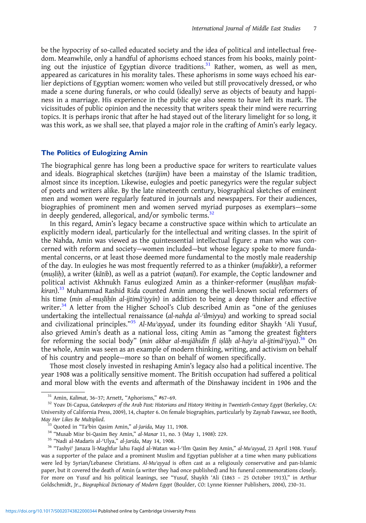be the hypocrisy of so-called educated society and the idea of political and intellectual freedom. Meanwhile, only a handful of aphorisms echoed stances from his books, mainly pointing out the injustice of Egyptian divorce traditions.<sup>31</sup> Rather, women, as well as men, appeared as caricatures in his morality tales. These aphorisms in some ways echoed his earlier depictions of Egyptian women: women who veiled but still provocatively dressed, or who made a scene during funerals, or who could (ideally) serve as objects of beauty and happiness in a marriage. His experience in the public eye also seems to have left its mark. The vicissitudes of public opinion and the necessity that writers speak their mind were recurring topics. It is perhaps ironic that after he had stayed out of the literary limelight for so long, it was this work, as we shall see, that played a major role in the crafting of Amin's early legacy.

#### The Politics of Eulogizing Amin

The biographical genre has long been a productive space for writers to rearticulate values and ideals. Biographical sketches (tarājim) have been a mainstay of the Islamic tradition, almost since its inception. Likewise, eulogies and poetic panegyrics were the regular subject of poets and writers alike. By the late nineteenth century, biographical sketches of eminent men and women were regularly featured in journals and newspapers. For their audiences, biographies of prominent men and women served myriad purposes as exemplars—some in deeply gendered, allegorical, and/or symbolic terms.<sup>32</sup>

In this regard, Amin's legacy became a constructive space within which to articulate an explicitly modern ideal, particularly for the intellectual and writing classes. In the spirit of the Nahda, Amin was viewed as the quintessential intellectual figure: a man who was concerned with reform and society—women included—but whose legacy spoke to more fundamental concerns, or at least those deemed more fundamental to the mostly male readership of the day. In eulogies he was most frequently referred to as a thinker (mufakkir), a reformer (muṣliḥ), a writer (kātib), as well as a patriot (waṭanī). For example, the Coptic landowner and political activist Akhnukh Fanus eulogized Amin as a thinker-reformer (muṣliḥan mufak $k$ iran). $33$  Muhammad Rashid Rida counted Amin among the well-known social reformers of his time (min al-muslihīn al-ijtimā iyyīn) in addition to being a deep thinker and effective writer.<sup>34</sup> A letter from the Higher School's Club described Amin as "one of the geniuses undertaking the intellectual renaissance (al-nahḍa al-ʿilmiyya) and working to spread social and civilizational principles."<sup>35</sup> Al-Mu'ayyad, under its founding editor Shaykh 'Ali Yusuf, also grieved Amin's death as a national loss, citing Amin as "among the greatest fighters for reforming the social body" (min akbar al-mujāhidīn fī iṣlāḥ al-hay'a al-ijtimāʿiyya).<sup>36</sup> On the whole, Amin was seen as an example of modern thinking, writing, and activism on behalf of his country and people—more so than on behalf of women specifically.

Those most closely invested in reshaping Amin's legacy also had a political incentive. The year 1908 was a politically sensitive moment. The British occupation had suffered a political and moral blow with the events and aftermath of the Dinshaway incident in 1906 and the

<sup>&</sup>lt;sup>31</sup> Amin, Kalimat, 36–37; Arnett, "Aphorisms," #67–69.<br><sup>32</sup> Yoav Di-Capua, Gatekeepers of the Arab Past: Historians and History Writing in Twentieth-Century Egypt (Berkeley, CA: University of California Press, 2009), 14, chapter 6. On female biographies, particularly by Zaynab Fawwaz, see Booth, May Her Likes Be Multiplied.<br><sup>33</sup> Quoted in "Ta'bin Qasim Amin," al-Jarida, May 11, 1908.<br><sup>34</sup> "Musab Misr bi-Qasim Bey Amin," al-Manar 11, no. 3 (May 1, 1908): 229.<br><sup>35</sup> "Nadi al-Madaris al-'Ulya," al-Jarida, May 14, 1908

was a supporter of the palace and a prominent Muslim and Egyptian publisher at a time when many publications were led by Syrian/Lebanese Christians. Al-Muʾayyad is often cast as a religiously conservative and pan-Islamic paper, but it covered the death of Amin (a writer they had once published) and his funeral commemorations closely. For more on Yusuf and his political leanings, see "Yusuf, Shaykh 'Ali (1863 – 25 October 1913)," in Arthur Goldschmidt, Jr., Biographical Dictionary of Modern Egypt (Boulder, CO: Lynne Rienner Publishers, 2004), 230–31.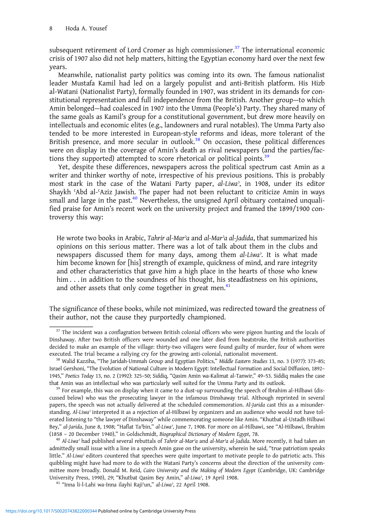subsequent retirement of Lord Cromer as high commissioner.<sup>37</sup> The international economic crisis of 1907 also did not help matters, hitting the Egyptian economy hard over the next few years.

Meanwhile, nationalist party politics was coming into its own. The famous nationalist leader Mustafa Kamil had led on a largely populist and anti-British platform. His Hizb al-Watani (Nationalist Party), formally founded in 1907, was strident in its demands for constitutional representation and full independence from the British. Another group—to which Amin belonged—had coalesced in 1907 into the Umma (People's) Party. They shared many of the same goals as Kamil's group for a constitutional government, but drew more heavily on intellectuals and economic elites (e.g., landowners and rural notables). The Umma Party also tended to be more interested in European-style reforms and ideas, more tolerant of the British presence, and more secular in outlook. $38$  On occasion, these political differences were on display in the coverage of Amin's death as rival newspapers (and the parties/factions they supported) attempted to score rhetorical or political points.<sup>39</sup>

Yet, despite these differences, newspapers across the political spectrum cast Amin as a writer and thinker worthy of note, irrespective of his previous positions. This is probably most stark in the case of the Watani Party paper, al-Liwaʾ, in 1908, under its editor Shaykh ʿAbd al-ʿAziz Jawish. The paper had not been reluctant to criticize Amin in ways small and large in the past.<sup>40</sup> Nevertheless, the unsigned April obituary contained unqualified praise for Amin's recent work on the university project and framed the 1899/1900 controversy this way:

He wrote two books in Arabic, Tahrir al-Marʾa and al-Marʾa al-Jadida, that summarized his opinions on this serious matter. There was a lot of talk about them in the clubs and newspapers discussed them for many days, among them al-Liwa<sup>2</sup>. It is what made him become known for [his] strength of example, quickness of mind, and rare integrity and other characteristics that gave him a high place in the hearts of those who knew him . . . in addition to the soundness of his thought, his steadfastness on his opinions, and other assets that only come together in great men. $41$ 

The significance of these books, while not minimized, was redirected toward the greatness of their author, not the cause they purportedly championed.

 $37$  The incident was a conflagration between British colonial officers who were pigeon hunting and the locals of Dinshaway. After two British officers were wounded and one later died from heatstroke, the British authorities decided to make an example of the village: thirty-two villagers were found guilty of murder, four of whom were executed. The trial became a rallying cry for the growing anti-colonial, nationalist movement.<br><sup>38</sup> Walid Kazziha, "The Jaridah-Ummah Group and Egyptian Politics," *Middle Eastern Studies* 13, no. 3 (1977): 373–85;

Israel Gershoni, "The Evolution of National Culture in Modern Egypt: Intellectual Formation and Social Diffusion, 1892– 1945," Poetics Today 13, no. 2 (1992): 325–50; Siddiq, "Qasim Amin wa-Kalimat al-Tanwir," 49–53. Siddiq makes the case that Amin was an intellectual who was particularly well suited for the Umma Party and its outlook.<br><sup>39</sup> For example, this was on display when it came to a dust-up surrounding the speech of Ibrahim al-Hilbawi (dis-

cussed below) who was the prosecuting lawyer in the infamous Dinshaway trial. Although reprinted in several papers, the speech was not actually delivered at the scheduled commemoration. Al-Jarida cast this as a misunderstanding. Al-Liwa<sup>,</sup> interpreted it as a rejection of al-Hilbawi by organizers and an audience who would not have tolerated listening to "the lawyer of Dinshaway" while commemorating someone like Amin. "Khutbat al-Ustadh Hilbawi Bey," al-Jarida, June 8, 1908; "Haflat Taʾbin," al-Liwaʾ, June 7, 1908. For more on al-Hilbawi, see "Al-Hilbawi, Ibrahim (1858 – 20 December 1940)," in Goldschmidt, Biographical Dictionary of Modern Egypt, 78.<br><sup>40</sup> Al-Liwa<sup>,</sup> had published several rebuttals of Tahrir al-Mar<sup>,</sup>a and al-Mar<sup>,</sup>a al-Jadida. More recently, it had taken an

admittedly small issue with a line in a speech Amin gave on the university, wherein he said, "true patriotism speaks little." Al-Liwa<sup>3</sup> editors countered that speeches were quite important to motivate people to do patriotic acts. This quibbling might have had more to do with the Watani Party's concerns about the direction of the university committee more broadly. Donald M. Reid, Cairo University and the Making of Modern Egypt (Cambridge, UK: Cambridge University Press, 1990), 29; "Khutbat Qasim Bey Amin," al-Liwa<sup>2</sup>, 19 April 1908.<br><sup>41</sup> "Inna li-l-Lahi wa-Inna ilayhi Raji'un," al-Liwa<sup>2</sup>, 22 April 1908.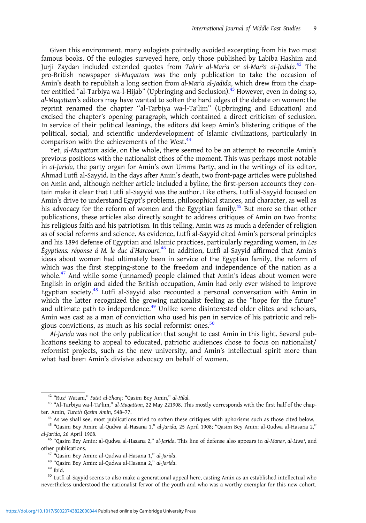Given this environment, many eulogists pointedly avoided excerpting from his two most famous books. Of the eulogies surveyed here, only those published by Labiba Hashim and Jurji Zaydan included extended quotes from Tahrir al-Marʾa or al-Marʾa al-Jadida. <sup>42</sup> The pro-British newspaper al-Muqattam was the only publication to take the occasion of Amin's death to republish a long section from al-Mar'a al-Jadida, which drew from the chapter entitled "al-Tarbiya wa-l-Hijab" (Upbringing and Seclusion).<sup>43</sup> However, even in doing so, al-Muqattam's editors may have wanted to soften the hard edges of the debate on women: the reprint renamed the chapter "al-Tarbiya wa-l-Taʿlim" (Upbringing and Education) and excised the chapter's opening paragraph, which contained a direct criticism of seclusion. In service of their political leanings, the editors did keep Amin's blistering critique of the political, social, and scientific underdevelopment of Islamic civilizations, particularly in comparison with the achievements of the West.<sup>44</sup>

Yet, al-Muqattam aside, on the whole, there seemed to be an attempt to reconcile Amin's previous positions with the nationalist ethos of the moment. This was perhaps most notable in al-Jarida, the party organ for Amin's own Umma Party, and in the writings of its editor, Ahmad Lutfi al-Sayyid. In the days after Amin's death, two front-page articles were published on Amin and, although neither article included a byline, the first-person accounts they contain make it clear that Lutfi al-Sayyid was the author. Like others, Lutfi al-Sayyid focused on Amin's drive to understand Egypt's problems, philosophical stances, and character, as well as his advocacy for the reform of women and the Egyptian family.<sup>45</sup> But more so than other publications, these articles also directly sought to address critiques of Amin on two fronts: his religious faith and his patriotism. In this telling, Amin was as much a defender of religion as of social reforms and science. As evidence, Lutfi al-Sayyid cited Amin's personal principles and his 1894 defense of Egyptian and Islamic practices, particularly regarding women, in Les Égyptiens: réponse á M. le duc d'Harcourt. <sup>46</sup> In addition, Lutfi al-Sayyid affirmed that Amin's ideas about women had ultimately been in service of the Egyptian family, the reform of which was the first stepping-stone to the freedom and independence of the nation as a whole.<sup>47</sup> And while some (unnamed) people claimed that Amin's ideas about women were English in origin and aided the British occupation, Amin had only ever wished to improve Egyptian society.<sup>48</sup> Lutfi al-Sayyid also recounted a personal conversation with Amin in which the latter recognized the growing nationalist feeling as the "hope for the future" and ultimate path to independence.<sup>49</sup> Unlike some disinterested older elites and scholars, Amin was cast as a man of conviction who used his pen in service of his patriotic and religious convictions, as much as his social reformist ones.<sup>50</sup>

Al-Jarida was not the only publication that sought to cast Amin in this light. Several publications seeking to appeal to educated, patriotic audiences chose to focus on nationalist/ reformist projects, such as the new university, and Amin's intellectual spirit more than what had been Amin's divisive advocacy on behalf of women.

<sup>&</sup>lt;sup>42</sup> "Ruz<sup>3</sup> Watani," Fatat al-Sharq; "Qasim Bey Amin," al-Hilal.<br><sup>43</sup> "Al-Tarbiya wa-l-Taʿlim," al-Muqattam, 22 May 221908. This mostly corresponds with the first half of the chapter. Amin, *Turath Qasim Amin*, 548-77.<br><sup>44</sup> As we shall see, most publications tried to soften these critiques with aphorisms such as those cited below.<br><sup>45</sup> "Qasim Bey Amin: al-Qudwa al-Hasana 1," *al-Jarida*, 25 April 1

al-Jarida, 26 April 1908.<br><sup>46</sup> "Qasim Bey Amin: al-Qudwa al-Hasana 2," al-Jarida. This line of defense also appears in al-Manar, al-Liwa<sup>3</sup>, and

other publications.<br><sup>47</sup> "Qasim Bey Amin: al-Qudwa al-Hasana 1," *al-Jarida.*<br><sup>48</sup> "Qasim Bey Amin: al-Qudwa al-Hasana 2," *al-Jarida.*<br><sup>49</sup> Ibid.<br><sup>50</sup> Lutfi al-Sayyid seems to also make a generational appeal here, casting

nevertheless understood the nationalist fervor of the youth and who was a worthy exemplar for this new cohort.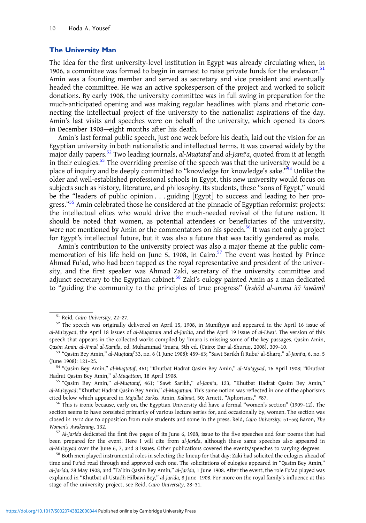#### The University Man

The idea for the first university-level institution in Egypt was already circulating when, in 1906, a committee was formed to begin in earnest to raise private funds for the endeavor.<sup>51</sup> Amin was a founding member and served as secretary and vice president and eventually headed the committee. He was an active spokesperson of the project and worked to solicit donations. By early 1908, the university committee was in full swing in preparation for the much-anticipated opening and was making regular headlines with plans and rhetoric connecting the intellectual project of the university to the nationalist aspirations of the day. Amin's last visits and speeches were on behalf of the university, which opened its doors in December 1908—eight months after his death.

Amin's last formal public speech, just one week before his death, laid out the vision for an Egyptian university in both nationalistic and intellectual terms. It was covered widely by the major daily papers.<sup>52</sup> Two leading journals, al-Muqtataf and al-Jami'a, quoted from it at length in their eulogies.<sup>53</sup> The overriding premise of the speech was that the university would be a place of inquiry and be deeply committed to "knowledge for knowledge's sake."<sup>54</sup> Unlike the older and well-established professional schools in Egypt, this new university would focus on subjects such as history, literature, and philosophy. Its students, these "sons of Egypt," would be the "leaders of public opinion . . . guiding [Egypt] to success and leading to her progress."<sup>55</sup> Amin celebrated those he considered at the pinnacle of Egyptian reformist projects: the intellectual elites who would drive the much-needed revival of the future nation. It should be noted that women, as potential attendees or beneficiaries of the university, were not mentioned by Amin or the commentators on his speech.<sup>56</sup> It was not only a project for Egypt's intellectual future, but it was also a future that was tacitly gendered as male.

Amin's contribution to the university project was also a major theme at the public commemoration of his life held on June  $5$ , 1908, in Cairo.<sup>57</sup> The event was hosted by Prince Ahmad Fuʾad, who had been tapped as the royal representative and president of the university, and the first speaker was Ahmad Zaki, secretary of the university committee and adjunct secretary to the Egyptian cabinet. $58$  Zaki's eulogy painted Amin as a man dedicated to "guiding the community to the principles of true progress" (irshād al-umma ilā ʿawāmil

 $51$  Reid, Cairo University, 22-27.<br> $52$  The speech was originally delivered on April 15, 1908, in Munifiyya and appeared in the April 16 issue of al-Mu'ayyad, the April 18 issues of al-Muqattam and al-Jarida, and the April 19 issue of al-Liwa'. The version of this speech that appears in the collected works compiled by 'Imara is missing some of the key passages. Qasim Amin,

Qasim Amin: al-Aʿmal al-Kamila, ed. Muhammad ʿImara, 5th ed. (Cairo: Dar al-Shuruq, 2008), 309–10.<br><sup>53</sup> "Qasim Bey Amin," al-Muqtataf 33, no. 6 (1 June 1908): 459–63; "Sawt Sarikh fi Rubuʿ al-Sharq," al-Jamiʿa, 6, no. 5<br>(J

<sup>54 &</sup>quot;Qasim Bey Amin," al-Muqtataf, 461; "Khutbat Hadrat Qasim Bey Amin," al-Mu<sup>2</sup>ayyad, 16 April 1908; "Khutbat Hadrat Qasim Bey Amin," al-Muqattam, 18 April 1908.<br><sup>55</sup> "Qasim Bey Amin," al-Muqtataf, 461; "Sawt Sarikh," al-Jami'a, 123, "Khutbat Hadrat Qasim Bey Amin,"

al-Muʾayyad; "Khutbat Hadrat Qasim Bey Amin," al-Muqattam. This same notion was reflected in one of the aphorisms cited below which appeared in Majallat Sarkis. Amin, Kalimat, 50; Arnett, "Aphorisms," #87.<br><sup>56</sup> This is ironic because, early on, the Egyptian University did have a formal "women's section" (1909–12). The

section seems to have consisted primarily of various lecture series for, and occasionally by, women. The section was closed in 1912 due to opposition from male students and some in the press. Reid, Cairo University, 51–56; Baron, The Women's Awakening, 132.<br><sup>57</sup> Al-Jarida dedicated the first five pages of its June 6, 1908, issue to the five speeches and four poems that had

been prepared for the event. Here I will cite from al-Jarida, although these same speeches also appeared in  $al$ -Mu'ayyad over the June 6, 7, and 8 issues. Other publications covered the events/speeches to varying degrees.<br><sup>58</sup> Both men played instrumental roles in selecting the lineup for that day: Zaki had solicited the eulogi

time and Fuʾad read through and approved each one. The solicitations of eulogies appeared in "Qasim Bey Amin," al-Jarida, 28 May 1908, and "Taʾbin Qasim Bey Amin," al-Jarida, 1 June 1908. After the event, the role Fuʾad played was explained in "Khutbat al-Ustadh Hilbawi Bey," al-Jarida, 8 June 1908. For more on the royal family's influence at this stage of the university project, see Reid, Cairo University, 28–31.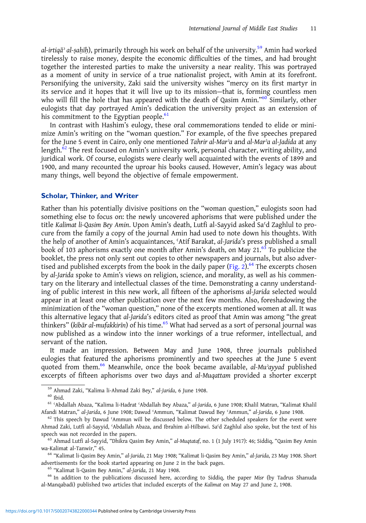al-irtigā<sup>,</sup> al-saḥīh), primarily through his work on behalf of the university.<sup>59</sup> Amin had worked tirelessly to raise money, despite the economic difficulties of the times, and had brought together the interested parties to make the university a near reality. This was portrayed as a moment of unity in service of a true nationalist project, with Amin at its forefront. Personifying the university, Zaki said the university wishes "mercy on its first martyr in its service and it hopes that it will live up to its mission—that is, forming countless men who will fill the hole that has appeared with the death of Qasim Amin."<sup>60</sup> Similarly, other eulogists that day portrayed Amin's dedication the university project as an extension of his commitment to the Egyptian people. $61$ 

In contrast with Hashim's eulogy, these oral commemorations tended to elide or minimize Amin's writing on the "woman question." For example, of the five speeches prepared for the June 5 event in Cairo, only one mentioned Tahrir al-Mar'a and al-Mar'a al-Jadida at any length.<sup>62</sup> The rest focused on Amin's university work, personal character, writing ability, and juridical work. Of course, eulogists were clearly well acquainted with the events of 1899 and 1900, and many recounted the uproar his books caused. However, Amin's legacy was about many things, well beyond the objective of female empowerment.

#### Scholar, Thinker, and Writer

Rather than his potentially divisive positions on the "woman question," eulogists soon had something else to focus on: the newly uncovered aphorisms that were published under the title Kalimat li-Qasim Bey Amin. Upon Amin's death, Lutfi al-Sayyid asked Saʿd Zaghlul to procure from the family a copy of the journal Amin had used to note down his thoughts. With the help of another of Amin's acquaintances, ʿAtif Barakat, al-Jarida's press published a small book of 103 aphorisms exactly one month after Amin's death, on May  $21.63$  To publicize the booklet, the press not only sent out copies to other newspapers and journals, but also adver-tised and published excerpts from the book in the daily paper ([Fig. 2](#page-12-0)).<sup>64</sup> The excerpts chosen by al-Jarida spoke to Amin's views on religion, science, and morality, as well as his commentary on the literary and intellectual classes of the time. Demonstrating a canny understanding of public interest in this new work, all fifteen of the aphorisms al-Jarida selected would appear in at least one other publication over the next few months. Also, foreshadowing the minimization of the "woman question," none of the excerpts mentioned women at all. It was this alternative legacy that al-Jarida's editors cited as proof that Amin was among "the great thinkers" (kibār al-mufakkirīn) of his time.<sup>65</sup> What had served as a sort of personal journal was now published as a window into the inner workings of a true reformer, intellectual, and servant of the nation.

It made an impression. Between May and June 1908, three journals published eulogies that featured the aphorisms prominently and two speeches at the June 5 event quoted from them.<sup>66</sup> Meanwhile, once the book became available,  $al$ -Mu<sup> $\alpha$ </sup>ayyad published excerpts of fifteen aphorisms over two days and al-Muqattam provided a shorter excerpt

<sup>&</sup>lt;sup>59</sup> Ahmad Zaki, "Kalima li-Ahmad Zaki Bey," al-Jarida, 6 June 1908.<br><sup>60</sup> Ibid.<br><sup>61</sup> ʿAbdallah Abaza, "Kalima li-Hadrat ʿAbdallah Bey Abaza," al-Jarida, 6 June 1908; Khalil Matran, "Kalimat Khalil Afandi Matran," al-Jarida, 6 June 1908; Dawud ʿAmmun, "Kalimat Dawud Bey ʿAmmun," al-Jarida, 6 June 1908.<br><sup>62</sup> This speech by Dawud ʿAmmun will be discussed below. The other scheduled speakers for the event were

Ahmad Zaki, Lutfi al-Sayyid, ʿAbdallah Abaza, and Ibrahim al-Hilbawi. Saʿd Zaghlul also spoke, but the text of his speech was not recorded in the papers.<br><sup>63</sup> Ahmad Lutfi al-Sayyid, "Dhikra Qasim Bey Amin," *al-Muqtataf*, no. 1 (1 July 1917): 46; Siddiq, "Qasim Bey Amin

wa-Kalimat al-Tanwir," 45.<br><sup>64</sup> "Kalimat li-Qasim Bey Amin," *al-Jarida*, 21 May 1908; "Kalimat li-Qasim Bey Amin," *al-Jarida*, 23 May 1908. Short<br>advertisements for the book started appearing on June 2 in the back pages.

<sup>&</sup>lt;sup>65</sup> "Kalimat li-Qasim Bey Amin," al-Jarida, 21 May 1908.<br><sup>66</sup> In addition to the publications discussed here, according to Siddiq, the paper Misr (by Tadrus Shanuda al-Manqabadi) published two articles that included excerpts of the Kalimat on May 27 and June 2, 1908.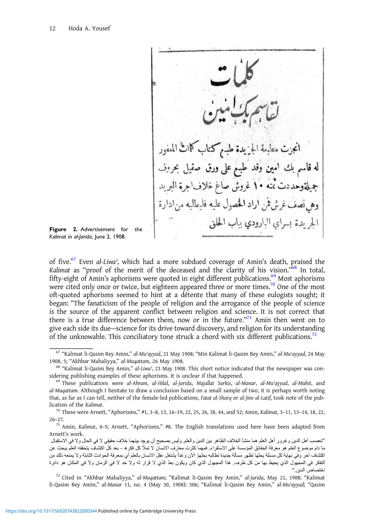<span id="page-12-0"></span>inel الحر يدة بسراي البارودي بباب الحا

Figure 2. Advertisement for the Kalimat in al-Jarida, June 2, 1908.

of five.<sup>67</sup> Even al-Liwa<sup>2</sup>, which had a more subdued coverage of Amin's death, praised the Kalimat as "proof of the merit of the deceased and the clarity of his vision."<sup>68</sup> In total, fifty-eight of Amin's aphorisms were quoted in eight different publications.<sup>69</sup> Most aphorisms were cited only once or twice, but eighteen appeared three or more times.<sup>70</sup> One of the most oft-quoted aphorisms seemed to hint at a détente that many of these eulogists sought; it began: "The fanaticism of the people of religion and the arrogance of the people of science is the source of the apparent conflict between religion and science. It is not correct that there is a true difference between them, now or in the future."<sup>71</sup> Amin then went on to give each side its due—science for its drive toward discovery, and religion for its understanding of the unknowable. This conciliatory tone struck a chord with six different publications.<sup>72</sup>

li-Qasim Bey Amin," al-Manar 11, no. 4 (May 30, 1908): 306; "Kalimat li-Qasim Bey Amin," al-Muʾayyad; "Qasim

<sup>67</sup> "Kalimat li-Qasim Bey Amin," al-Muʾayyad, 21 May 1908; "Min Kalimat li-Qasim Bey Amin," al-Muʾayyad, 24 May 1908, 5; "Akhbar Mahaliyya," al-Muqattam, 26 May 1908.<br><sup>68</sup> "Kalimat li-Qasim Bey Amin," al-Liwa<sup>,</sup> 23 May 1908. This short notice indicated that the newspaper was con-

sidering publishing examples of these aphorisms. It is unclear if that happened.<br><sup>69</sup> These publications were al-Ahram, al-Hilal, al-Jarida, Majallat Sarkis, al-Manar, al-Mu<sup></sup>ayyad, al-Muhit, and

al-Muqattam. Although I hesitate to draw a conclusion based on a small sample of two, it is perhaps worth noting that, as far as I can tell, neither of the female-led publications, Fatat al-Sharq or al-Jins al-Latif, took note of the publication of the Kalimat.  $^{70}$  These were Arnett, "Aphorisms," #1, 3–8, 13, 16–19, 22, 25, 26, 38, 44, and 52; Amin, Kalimat, 3–11, 13–14, 18, 22,

<sup>26</sup>–27.

 $71$  Amin, Kalimat, 4-5; Arnett, "Aphorisms," #8. The English translations used here have been adapted from Arnett's work.

<sup>&</sup>quot;تعصب أهل الدين وغرور أهل العلم هما منشأ الخلاف الظاهر بين الدين والعلم. وليس بصحيح أن يوجد بينهما خلاف حقيقي لا في الحال ولا في الاستقبال ما دام موضوع العلم هو معرفة الحقائق المؤسسة على الاستقراء. فمهما كثرت معارف الانسان لا تملأ كل فكر ه – بعد كل اكتشاف يتحققه العلم يبحث عن اكتشاف آخر وفي نهاية كل مسئلة يحلها تظهر مسألة جديدة تطالبه بحلها. الآن وغداً يشتغل عقل الانسان بالعلم أي بمعرفة الحوادث الثابتة ولا يمنعه ذلك من التفكر في المجهول الذي يحيط بها من كل طرف. هذا المجهول الذي كان ويكون بعُد الذي لا قرار له ولا حد لا في الزمان ولا في المكان هو دائرة اختصاص الدين."<br>21 cited in "Akhbar Mahaliyya," *al-Muqattam*; "Kalimat li-Qasim Bey Amin," *al-Jarida*, May 21, 1908; "Kalimat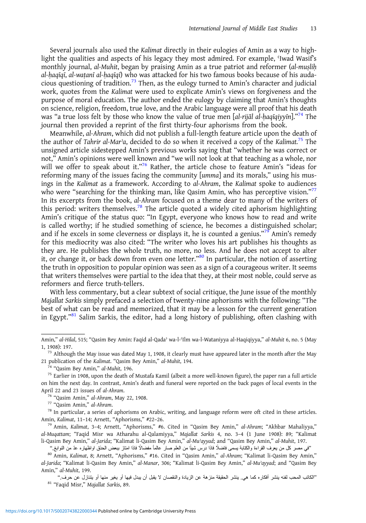Several journals also used the Kalimat directly in their eulogies of Amin as a way to highlight the qualities and aspects of his legacy they most admired. For example, 'Iwad Wasif's monthly journal, al-Muhit, began by praising Amin as a true patriot and reformer (al-muṣliḥ al-ḥaqīqī, al-waṭanī al-ḥaqīqī) who was attacked for his two famous books because of his audacious questioning of tradition.<sup>73</sup> Then, as the eulogy turned to Amin's character and judicial work, quotes from the Kalimat were used to explicate Amin's views on forgiveness and the purpose of moral education. The author ended the eulogy by claiming that Amin's thoughts on science, religion, freedom, true love, and the Arabic language were all proof that his death was "a true loss felt by those who know the value of true men [al-rijāl al-ḥaqīqiyyīn]."<sup>74</sup> The journal then provided a reprint of the first thirty-four aphorisms from the book.

Meanwhile, al-Ahram, which did not publish a full-length feature article upon the death of the author of Tahrir al-Mar'a, decided to do so when it received a copy of the Kalimat.<sup>75</sup> The unsigned article sidestepped Amin's previous works saying that "whether he was correct or not," Amin's opinions were well known and "we will not look at that teaching as a whole, nor will we offer to speak about it."<sup>76</sup> Rather, the article chose to feature Amin's "ideas for reforming many of the issues facing the community [umma] and its morals," using his musings in the Kalimat as a framework. According to al-Ahram, the Kalimat spoke to audiences who were "searching for the thinking man, like Qasim Amin, who has perceptive vision."<sup>77</sup> In its excerpts from the book, al-Ahram focused on a theme dear to many of the writers of this period: writers themselves.<sup>78</sup> The article quoted a widely cited aphorism highlighting Amin's critique of the status quo: "In Egypt, everyone who knows how to read and write is called worthy; if he studied something of science, he becomes a distinguished scholar; and if he excels in some cleverness or displays it, he is counted a genius."<sup>79</sup> Amin's remedy for this mediocrity was also cited: "The writer who loves his art publishes his thoughts as they are. He publishes the whole truth, no more, no less. And he does not accept to alter it, or change it, or back down from even one letter."<sup>80</sup> In particular, the notion of asserting the truth in opposition to popular opinion was seen as a sign of a courageous writer. It seems that writers themselves were partial to the idea that they, at their most noble, could serve as reformers and fierce truth-tellers.

With less commentary, but a clear subtext of social critique, the June issue of the monthly Majallat Sarkis simply prefaced a selection of twenty-nine aphorisms with the following: "The best of what can be read and memorized, that it may be a lesson for the current generation in Egypt."<sup>81</sup> Salim Sarkis, the editor, had a long history of publishing, often clashing with

Amin," al-Hilal, 515; "Qasim Bey Amin: Faqid al-Qadaʾ wa-l-ʿIlm wa-l-Wataniyya al-Haqiqiyya," al-Muhit 6, no. 5 (May

<sup>1, 1908): 197.&</sup>lt;br><sup>73</sup> Although the May issue was dated May 1, 1908, it clearly must have appeared later in the month after the May<br>21 publication of the Kalimat. "Qasim Bey Amin," al-Muhit, 194.

<sup>&</sup>lt;sup>74</sup> "Qasim Bey Amin," *al-Muhit*, 196.<br><sup>75</sup> Earlier in 1908, upon the death of Mustafa Kamil (albeit a more well-known figure), the paper ran a full article on him the next day. In contrast, Amin's death and funeral were reported on the back pages of local events in the April 22 and 23 issues of al-Ahram.<br><sup>76</sup> "Qasim Amin," al-Ahram, May 22, 1908.<br><sup>77</sup> "Qasim Amin," al-Ahram.<br><sup>78</sup> In particular, a series of aphorisms on Arabic, writing, and language reform were oft cited in these article

Amin, Kalimat, 11-14; Arnett, "Aphorisms," #22-26.<br><sup>79</sup> Amin, Kalimat, 3-4; Arnett, "Aphorisms," #6. Cited in "Qasim Bey Amin," al-Ahram; "Akhbar Mahaliyya,"

al-Muqattam; "Faqid Misr wa Atharahu al-Qalamiyya," Majallat Sarkis 4, no. 3–4 (1 June 1908): 89; "Kalimat li-Qasim Bey Amin," al-Jarida; "Kalimat li-Qasim Bey Amin," al-Muʾayyad; and "Qasim Bey Amin," al-Muhit, 197.

<sup>&#</sup>x27;'في مصر كل من يعرف القراءة والكتابة يسمى فاضلًا فاذا درس شيئًا من العلم صلر عالماً مفضالًا فاذا امتاز ببعض الحذق اواظهاره عدّ من النوابغ.''

<sup>80</sup> Amin, Kalimat, 8; Arnett, "Aphorisms," #16. Cited in "Qasim Amin," al-Ahram; "Kalimat li-Qasim Bey Amin," al-Jarida; "Kalimat li-Qasim Bey Amin," al-Manar, 306; "Kalimat li-Qasim Bey Amin," al-Muʾayyad; and "Qasim Bey Amin," al-Muhit, 199.

<sup>&</sup>quot;الكاتب المحب لفنه ينشر أفكاره كما هي. ينشر الحقيقة منزهة عن الزيادة والنقصان لا يقبل أن يبدل فيها أو يغير منها أو يتنازل عن حرف."<br><sup>81</sup> "Faqid Misr," *Majallat Sarkis*, 89.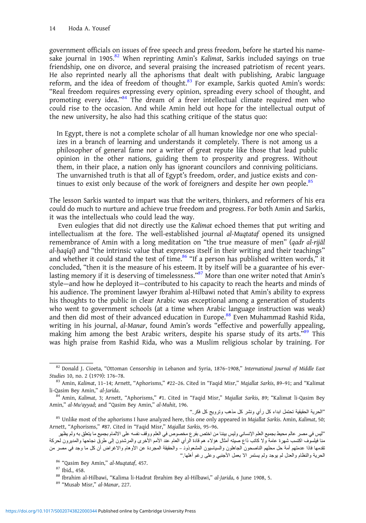government officials on issues of free speech and press freedom, before he started his namesake journal in 1905.<sup>82</sup> When reprinting Amin's Kalimat, Sarkis included sayings on true friendship, one on divorce, and several praising the increased patriotism of recent years. He also reprinted nearly all the aphorisms that dealt with publishing, Arabic language reform, and the idea of freedom of thought.<sup>83</sup> For example, Sarkis quoted Amin's words: "Real freedom requires expressing every opinion, spreading every school of thought, and promoting every idea."<sup>84</sup> The dream of a freer intellectual climate required men who could rise to the occasion. And while Amin held out hope for the intellectual output of the new university, he also had this scathing critique of the status quo:

In Egypt, there is not a complete scholar of all human knowledge nor one who specializes in a branch of learning and understands it completely. There is not among us a philosopher of general fame nor a writer of great repute like those that lead public opinion in the other nations, guiding them to prosperity and progress. Without them, in their place, a nation only has ignorant councilors and conniving politicians. The unvarnished truth is that all of Egypt's freedom, order, and justice exists and continues to exist only because of the work of foreigners and despite her own people. $85$ 

The lesson Sarkis wanted to impart was that the writers, thinkers, and reformers of his era could do much to nurture and achieve true freedom and progress. For both Amin and Sarkis, it was the intellectuals who could lead the way.

Even eulogies that did not directly use the Kalimat echoed themes that put writing and intellectualism at the fore. The well-established journal al-Muqtataf opened its unsigned remembrance of Amin with a long meditation on "the true measure of men" (qadr al-rijāl al-ḥaqīqī) and "the intrinsic value that expresses itself in their writing and their teachings" and whether it could stand the test of time.<sup>86</sup> "If a person has published written words," it concluded, "then it is the measure of his esteem. It by itself will be a guarantee of his everlasting memory if it is deserving of timelessness."<sup>87</sup> More than one writer noted that Amin's style—and how he deployed it—contributed to his capacity to reach the hearts and minds of his audience. The prominent lawyer Ibrahim al-Hilbawi noted that Amin's ability to express his thoughts to the public in clear Arabic was exceptional among a generation of students who went to government schools (at a time when Arabic language instruction was weak) and then did most of their advanced education in Europe.<sup>88</sup> Even Muhammad Rashid Rida, writing in his journal, al-Manar, found Amin's words "effective and powerfully appealing, making him among the best Arabic writers, despite his sparse study of its arts."89 This was high praise from Rashid Rida, who was a Muslim religious scholar by training. For

<sup>82</sup> Donald J. Cioeta, "Ottoman Censorship in Lebanon and Syria, 1876-1908," International Journal of Middle East Studies 10, no. 2 (1979): 176–78.<br><sup>83</sup> Amin, Kalimat, 11–14; Arnett, "Aphorisms," #22–26. Cited in "Faqid Misr," Majallat Sarkis, 89–91; and "Kalimat

li-Qasim Bey Amin," al-Jarida.<br><sup>84</sup> Amin, Kalimat, 3; Arnett, "Aphorisms," #1. Cited in "Faqid Misr," Majallat Sarkis, 89; "Kalimat li-Qasim Bey

Amin," al-Muʾayyad; and "Qasim Bey Amin," al-Muhit, 196.

<sup>&</sup>quot;الحرية الحقيقية تحتمل ابداء كل رأي ونشر كل مذهب وترويج كل فكر."<br>[35 Unlike most of the aphorisms I have analyzed here, this one only appeared in Majallat Sarkis. Amin, Kalimat Arnett, "Aphorisms," #87. Cited in "Faqid Misr," Majallat Sarkis, 95–96.

<sup>&</sup>quot;ليس في مصر عالم محيط بجميع العلم الإنساني وليس بيننا من اختص بفرع مخصوص في العلم ووقف نفسه على الالمام بجميع ما يتعلق به ولم يظهر منا فيلسوف اكتسب شهرة عامة ولا كاتب ذاع صيته أمثال هؤلاء هم قادة الرأي العام عند الأمم الأخرى والمرشدون إلى طرق نجاحها والمديرون لحركة تقدمها فاذا عنمتهم أمة حل محلهم الناصحون الجاهلون والسياسيون المشعوذونـ ـ والحقيقة المجردة عن الأوهام والاغراض أن كل ما وجد في مصر من<br>الحرية والنظام والعدل لم يوجد ولم يستمر الا بعمل الأجنبي وعلى رغم أهلها."

<sup>&</sup>lt;sup>86</sup> "Qasim Bey Amin," *al-Muqtataf*, 457.<br><sup>87</sup> Ibid., 458.<br><sup>88</sup> Ibrahim al-Hilbawi, "Kalima li-Hadrat Ibrahim Bey al-Hilbawi," *al-Jarida*, 6 June 1908, 5.<br><sup>89</sup> "Musab Misr," *al-Manar*, 227.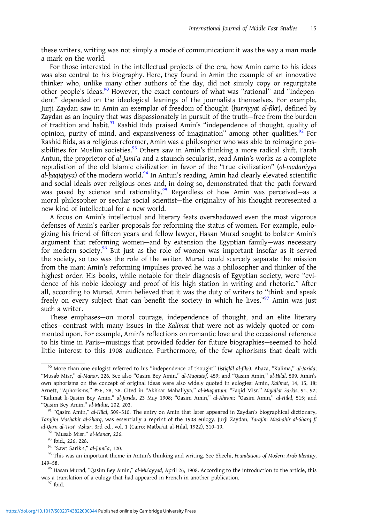these writers, writing was not simply a mode of communication: it was the way a man made a mark on the world.

For those interested in the intellectual projects of the era, how Amin came to his ideas was also central to his biography. Here, they found in Amin the example of an innovative thinker who, unlike many other authors of the day, did not simply copy or regurgitate other people's ideas.<sup>90</sup> However, the exact contours of what was "rational" and "independent" depended on the ideological leanings of the journalists themselves. For example, Jurji Zaydan saw in Amin an exemplar of freedom of thought (hurriyyat al-fikr), defined by Zaydan as an inquiry that was dispassionately in pursuit of the truth—free from the burden of tradition and habit.<sup>91</sup> Rashid Rida praised Amin's "independence of thought, quality of opinion, purity of mind, and expansiveness of imagination" among other qualities.<sup>92</sup> For Rashid Rida, as a religious reformer, Amin was a philosopher who was able to reimagine possibilities for Muslim societies. $93$  Others saw in Amin's thinking a more radical shift. Farah Antun, the proprietor of al-Jami'a and a staunch secularist, read Amin's works as a complete repudiation of the old Islamic civilization in favor of the "true civilization" (al-madaniyya al-haqīqiyya) of the modern world.<sup>94</sup> In Antun's reading, Amin had clearly elevated scientific and social ideals over religious ones and, in doing so, demonstrated that the path forward was paved by science and rationality.<sup>95</sup> Regardless of how Amin was perceived-as a moral philosopher or secular social scientist—the originality of his thought represented a new kind of intellectual for a new world.

A focus on Amin's intellectual and literary feats overshadowed even the most vigorous defenses of Amin's earlier proposals for reforming the status of women. For example, eulogizing his friend of fifteen years and fellow lawyer, Hasan Murad sought to bolster Amin's argument that reforming women—and by extension the Egyptian family—was necessary for modern society. $96$  But just as the role of women was important insofar as it served the society, so too was the role of the writer. Murad could scarcely separate the mission from the man; Amin's reforming impulses proved he was a philosopher and thinker of the highest order. His books, while notable for their diagnosis of Egyptian society, were "evidence of his noble ideology and proof of his high station in writing and rhetoric." After all, according to Murad, Amin believed that it was the duty of writers to "think and speak freely on every subject that can benefit the society in which he lives."<sup>97</sup> Amin was just such a writer.

These emphases—on moral courage, independence of thought, and an elite literary ethos—contrast with many issues in the Kalimat that were not as widely quoted or commented upon. For example, Amin's reflections on romantic love and the occasional reference to his time in Paris—musings that provided fodder for future biographies—seemed to hold little interest to this 1908 audience. Furthermore, of the few aphorisms that dealt with

<sup>90</sup> More than one eulogist referred to his "independence of thought" (istiqlāl al-fikr). Abaza, "Kalima," al-Jarida; "Musab Misr," al-Manar, 226. See also "Qasim Bey Amin," al-Muqtataf, 459; and "Qasim Amin," al-Hilal, 509. Amin's own aphorisms on the concept of original ideas were also widely quoted in eulogies: Amin, Kalimat, 14, 15, 18; Arnett, "Aphorisms," #26, 28, 38. Cited in "Akhbar Mahaliyya," al-Muqattam; "Faqid Misr," Majallat Sarkis, 91, 92; "Kalimat li-Qasim Bey Amin," al-Jarida, 23 May 1908; "Qasim Amin," al-Ahram; "Qasim Amin," al-Hilal, 515; and "Qasim Bey Amin," al-Muhit, 202, 203. <sup>91</sup> "Qasim Amin," al-Hilal, 509–510. The entry on Amin that later appeared in Zaydan's biographical dictionary,

Tarajim Mashahir al-Sharq, was essentially a reprint of the 1908 eulogy. Jurji Zaydan, Tarajim Mashahir al-Sharq fi al-Qarn al-Tasi<sup>c</sup> 'Ashar, 3rd ed., vol. 1 (Cairo: Matba<sup>c</sup>at al-Hilal, 1922), 310-19.<br><sup>92</sup> "Musab Misr," al-Manar, 226.<br><sup>93</sup> Ibid., 226, 228.<br><sup>94</sup> "Sawt Sarikh," al-Jami'a, 120.<br><sup>95</sup> This was an important theme in Antun's

<sup>149</sup>–58.

<sup>96</sup> Hasan Murad, "Qasim Bey Amin," al-Muʾayyad, April 26, 1908. According to the introduction to the article, this was a translation of a eulogy that had appeared in French in another publication.<br><sup>97</sup> Ibid.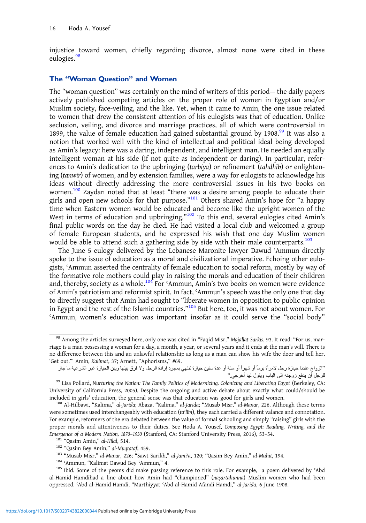injustice toward women, chiefly regarding divorce, almost none were cited in these eulogies.<sup>98</sup>

#### The "Woman Question" and Women

The "woman question" was certainly on the mind of writers of this period— the daily papers actively published competing articles on the proper role of women in Egyptian and/or Muslim society, face-veiling, and the like. Yet, when it came to Amin, the one issue related to women that drew the consistent attention of his eulogists was that of education. Unlike seclusion, veiling, and divorce and marriage practices, all of which were controversial in 1899, the value of female education had gained substantial ground by 1908. $99$  It was also a notion that worked well with the kind of intellectual and political ideal being developed as Amin's legacy: here was a daring, independent, and intelligent man. He needed an equally intelligent woman at his side (if not quite as independent or daring). In particular, references to Amin's dedication to the upbringing (tarbiya) or refinement (tahdhīb) or enlightening (tanwīr) of women, and by extension families, were a way for eulogists to acknowledge his ideas without directly addressing the more controversial issues in his two books on women.<sup>100</sup> Zaydan noted that at least "there was a desire among people to educate their girls and open new schools for that purpose."<sup>101</sup> Others shared Amin's hope for "a happy time when Eastern women would be educated and become like the upright women of the West in terms of education and upbringing."<sup>102</sup> To this end, several eulogies cited Amin's final public words on the day he died. He had visited a local club and welcomed a group of female European students, and he expressed his wish that one day Muslim women would be able to attend such a gathering side by side with their male counterparts.<sup>103</sup>

The June 5 eulogy delivered by the Lebanese Maronite lawyer Dawud ʿAmmun directly spoke to the issue of education as a moral and civilizational imperative. Echoing other eulogists, ʿAmmun asserted the centrality of female education to social reform, mostly by way of the formative role mothers could play in raising the morals and education of their children and, thereby, society as a whole.<sup>104</sup> For 'Ammun, Amin's two books on women were evidence of Amin's patriotism and reformist spirit. In fact, ʿAmmun's speech was the only one that day to directly suggest that Amin had sought to "liberate women in opposition to public opinion in Egypt and the rest of the Islamic countries." <sup>105</sup> But here, too, it was not about women. For ʿAmmun, women's education was important insofar as it could serve the "social body"

<sup>98</sup> Among the articles surveyed here, only one was cited in "Faqid Misr," Majallat Sarkis, 93. It read: "For us, marriage is a man possessing a woman for a day, a month, a year, or several years and it ends at the man's will. There is no difference between this and an unlawful relationship as long as a man can show his wife the door and tell her, 'Get out.'" Amin, Kalimat, 37; Arnett, "Aphorisms," #69.

<sup>&</sup>quot;الزواج عندنا حيازة رجل لامرأة يوماً أو شهراً أو سنة أو عدة سنين حيازة تنتهي بمجرد إرادة الرجل ولا فرق بينها وبين الحيازة غير الشرعية ما جاز للرجل أن يدفع زوجته الى الباب ويقول لها أخرجي."<br>"Lisa Pollard, Nurturing the Nation: The Family Politics of Modernizing, Colonizing and Liberating Egypt (Berkeley, CA:

University of California Press, 2005). Despite the ongoing and active debate about exactly what could/should be included in girls' education, the general sense was that education was good for girls and women.<br><sup>100</sup> Al-Hilbawi, "Kalima," *al-Jarida*; Abaza, "Kalima," *al-Jarida*; "Musab Misr," *al-Manar*, 226. Although these terms

were sometimes used interchangeably with education (ta<sup>q</sup>līm), they each carried a different valance and connotation. For example, reformers of the era debated between the value of formal schooling and simply "raising" girls with the proper morals and attentiveness to their duties. See Hoda A. Yousef, Composing Egypt: Reading, Writing, and the Emergence of a Modern Nation, 1870–1930 (Stanford, CA: Stanford University Press, 2016), 53–54.<br><sup>101</sup> "Qasim Amin," al-Hilal, 514.<br><sup>102</sup> "Qasim Bey Amin," al-Muqtataf, 459.<br><sup>103</sup> "Musab Misr," al-Manar, 226; "Sawt Sarikh,"

al-Hamid Hamdihad a line about how Amin had "championed" (naṣartahunna) Muslim women who had been oppressed. ʿAbd al-Hamid Hamdi, "Marthiyyat ʿAbd al-Hamid Afandi Hamdi," al-Jarida, 6 June 1908.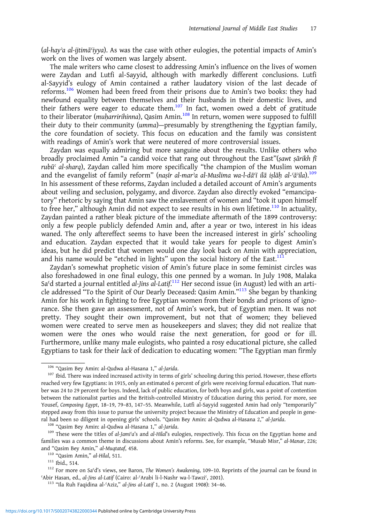$(al$ -hay'a al-ijtimā $'$ iyya). As was the case with other eulogies, the potential impacts of Amin's work on the lives of women was largely absent.

The male writers who came closest to addressing Amin's influence on the lives of women were Zaydan and Lutfi al-Sayyid, although with markedly different conclusions. Lutfi al-Sayyid's eulogy of Amin contained a rather laudatory vision of the last decade of reforms.<sup>106</sup> Women had been freed from their prisons due to Amin's two books: they had newfound equality between themselves and their husbands in their domestic lives, and their fathers were eager to educate them.<sup>107</sup> In fact, women owed a debt of gratitude to their liberator (muharririhinna), Qasim Amin.<sup>108</sup> In return, women were supposed to fulfill their duty to their community (umma)—presumably by strengthening the Egyptian family, the core foundation of society. This focus on education and the family was consistent with readings of Amin's work that were neutered of more controversial issues.

Zaydan was equally admiring but more sanguine about the results. Unlike others who broadly proclaimed Amin "a candid voice that rang out throughout the East"(sawt sārikh  $\hat{\pi}$ rubūʿ al-sharq), Zaydan called him more specifically "the champion of the Muslim woman and the evangelist of family reform" (naṣīr al-marʾa al-Muslima wa-l-dāʿī ilā iṣlāḥ al-ʿāʾila).109 In his assessment of these reforms, Zaydan included a detailed account of Amin's arguments about veiling and seclusion, polygamy, and divorce. Zaydan also directly evoked "emancipatory" rhetoric by saying that Amin saw the enslavement of women and "took it upon himself to free her," although Amin did not expect to see results in his own lifetime.<sup>110</sup> In actuality, Zaydan painted a rather bleak picture of the immediate aftermath of the 1899 controversy: only a few people publicly defended Amin and, after a year or two, interest in his ideas waned. The only aftereffect seems to have been the increased interest in girls' schooling and education. Zaydan expected that it would take years for people to digest Amin's ideas, but he did predict that women would one day look back on Amin with appreciation, and his name would be "etched in lights" upon the social history of the East.<sup>11</sup>

Zaydan's somewhat prophetic vision of Amin's future place in some feminist circles was also foreshadowed in one final eulogy, this one penned by a woman. In July 1908, Malaka Sa<sup>c</sup>d started a journal entitled al-Jins al-Latif.<sup>112</sup> Her second issue (in August) led with an article addressed "To the Spirit of Our Dearly Deceased: Qasim Amin."<sup>113</sup> She began by thanking Amin for his work in fighting to free Egyptian women from their bonds and prisons of ignorance. She then gave an assessment, not of Amin's work, but of Egyptian men. It was not pretty. They sought their own improvement, but not that of women; they believed women were created to serve men as housekeepers and slaves; they did not realize that women were the ones who would raise the next generation, for good or for ill. Furthermore, unlike many male eulogists, who painted a rosy educational picture, she called Egyptians to task for their lack of dedication to educating women: "The Egyptian man firmly

<sup>&</sup>lt;sup>106</sup> "Qasim Bey Amin: al-Qudwa al-Hasana 1," *al-Jarida.*<br><sup>107</sup> Ibid. There was indeed increased activity in terms of girls' schooling during this period. However, these efforts reached very few Egyptians: in 1915, only an estimated 6 percent of girls were receiving formal education. That number was 24 to 29 percent for boys. Indeed, lack of public education, for both boys and girls, was a point of contention between the nationalist parties and the British-controlled Ministry of Education during this period. For more, see Yousef, Composing Egypt, 18–19, 79–83, 147–55. Meanwhile, Lutfi al-Sayyid suggested Amin had only "temporarily" stepped away from this issue to pursue the university project because the Ministry of Education and people in general had been so diligent in opening girls' schools. "Qasim Bey Amin: al-Qudwa al-Hasana 2," al-Jarida.<br><sup>108</sup> "Qasim Bey Amin: al-Qudwa al-Hasana 1," al-Jarida.<br><sup>109</sup> These were the titles of al-Jami'a's and al-Hilal's eulo

families was a common theme in discussions about Amin's reforms. See, for example, "Musab Misr," al-Manar, 226; and "Qasim Bey Amin," al-Muqtataf, 458.<br><sup>110</sup> "Qasim Amin," al-Hilal, 511. <sup>111</sup> Ibid., 514.<br><sup>111</sup> Ibid., 514. <sup>112</sup> For more on Saʿd's views, see Baron, *The Women's Awakening*, 109–10. Reprints of the journal can be fou

<sup>ʿ</sup>Abir Hasan, ed., al-Jins al-Latif (Cairo: al-ʿArabi li-l-Nashr wa-l-Tawziʿ, 2001). <sup>113</sup> "Ila Ruh Faqidina al-ʿAziz," al-Jins al-Latif 1, no. 2 (August 1908): 34–46.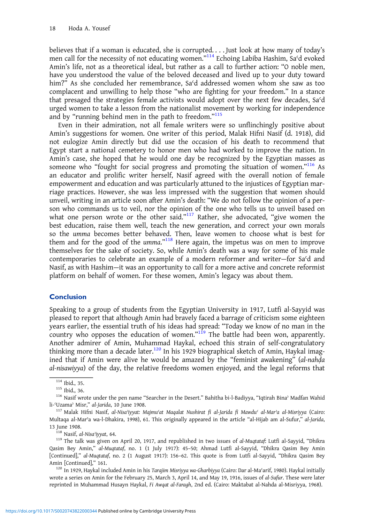believes that if a woman is educated, she is corrupted. . . . Just look at how many of today's men call for the necessity of not educating women."<sup>114</sup> Echoing Labiba Hashim, Sa'd evoked Amin's life, not as a theoretical ideal, but rather as a call to further action: "O noble men, have you understood the value of the beloved deceased and lived up to your duty toward him?" As she concluded her remembrance, Sa'd addressed women whom she saw as too complacent and unwilling to help those "who are fighting for your freedom." In a stance that presaged the strategies female activists would adopt over the next few decades, Saʿd urged women to take a lesson from the nationalist movement by working for independence and by "running behind men in the path to freedom."<sup>115</sup>

Even in their admiration, not all female writers were so unflinchingly positive about Amin's suggestions for women. One writer of this period, Malak Hifni Nasif (d. 1918), did not eulogize Amin directly but did use the occasion of his death to recommend that Egypt start a national cemetery to honor men who had worked to improve the nation. In Amin's case, she hoped that he would one day be recognized by the Egyptian masses as someone who "fought for social progress and promoting the situation of women."<sup>116</sup> As an educator and prolific writer herself, Nasif agreed with the overall notion of female empowerment and education and was particularly attuned to the injustices of Egyptian marriage practices. However, she was less impressed with the suggestion that women should unveil, writing in an article soon after Amin's death: "We do not follow the opinion of a person who commands us to veil, nor the opinion of the one who tells us to unveil based on what one person wrote or the other said."<sup>117</sup> Rather, she advocated, "give women the best education, raise them well, teach the new generation, and correct your own morals so the umma becomes better behaved. Then, leave women to choose what is best for them and for the good of the umma."<sup>118</sup> Here again, the impetus was on men to improve themselves for the sake of society. So, while Amin's death was a way for some of his male contemporaries to celebrate an example of a modern reformer and writer—for Saʿd and Nasif, as with Hashim—it was an opportunity to call for a more active and concrete reformist platform on behalf of women. For these women, Amin's legacy was about them.

#### Conclusion

Speaking to a group of students from the Egyptian University in 1917, Lutfi al-Sayyid was pleased to report that although Amin had bravely faced a barrage of criticism some eighteen years earlier, the essential truth of his ideas had spread: "Today we know of no man in the country who opposes the education of women."<sup>119</sup> The battle had been won, apparently. Another admirer of Amin, Muhammad Haykal, echoed this strain of self-congratulatory thinking more than a decade later.<sup>120</sup> In his 1929 biographical sketch of Amin, Haykal imagined that if Amin were alive he would be amazed by the "feminist awakening" (al-nahḍa al-nisawiyya) of the day, the relative freedoms women enjoyed, and the legal reforms that

Multaqa al-Marʾa wa-l-Dhakira, 1998), 61. This originally appeared in the article "al-Hijab am al-Sufur," al-Jarida, 13 June 1908.<br><sup>118</sup> Nasif, *al-Nisaʾiyyat*, 64.<br><sup>119</sup> The talk was given on April 20, 1917, and republished in two issues of *al-Muqtataf*: Lutfi al-Sayyid, "Dhikra

Qasim Bey Amin," al-Muqtataf, no. 1 (1 July 1917): 45–50; Ahmad Lutfi al-Sayyid, "Dhikra Qasim Bey Amin [Continued]," al-Muqtataf, no. 2 (1 August 1917): 156–62. This quote is from Lutfi al-Sayyid, "Dhikra Qasim Bey

<sup>120</sup> In 1929, Haykal included Amin in his Tarajim Misriyya wa-Gharbiyya (Cairo: Dar al-Maʿarif, 1980). Haykal initially wrote a series on Amin for the February 25, March 3, April 14, and May 19, 1916, issues of al-Sufur. These were later reprinted in Muhammad Husayn Haykal, Fi Awqat al-Faragh, 2nd ed. (Cairo: Maktabat al-Nahda al-Misriyya, 1968).

<sup>114</sup> Ibid., 35.<br><sup>115</sup> Ibid., 36.<br><sup>116</sup> Nasif wrote under the pen name "Searcher in the Desert." Bahitha bi-l-Badiyya, "Iqtirah Bina<sup>,</sup> Madfan Wahid li-`Uzama<sup>,</sup> Misr," al-Jarida, 10 June 1908.<br><sup>117</sup> Malak Hifni Nasif, al-Nisaʾiyyat: Majmuʿat Maqalat Nushirat fi al-Jarida fi Mawduʿ al-Mar<sup>,</sup>a al-Misriyya (Cairo: